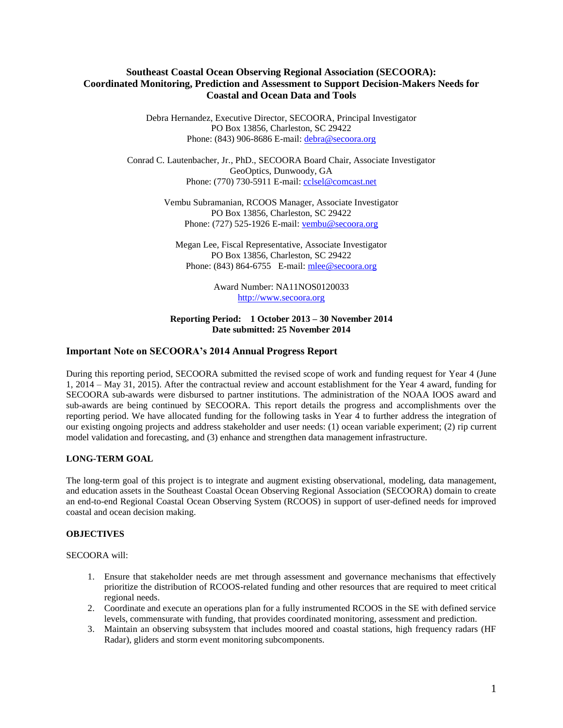# **Southeast Coastal Ocean Observing Regional Association (SECOORA): Coordinated Monitoring, Prediction and Assessment to Support Decision-Makers Needs for Coastal and Ocean Data and Tools**

Debra Hernandez, Executive Director, SECOORA, Principal Investigator PO Box 13856, Charleston, SC 29422 Phone: (843) 906-8686 E-mail: [debra@secoora.org](mailto:debra@secoora.org)

Conrad C. Lautenbacher, Jr., PhD., SECOORA Board Chair, Associate Investigator GeoOptics, Dunwoody, GA Phone: (770) 730-5911 E-mail: [cclsel@comcast.net](mailto:cclsel@comcast.net)

> Vembu Subramanian, RCOOS Manager, Associate Investigator PO Box 13856, Charleston, SC 29422 Phone: (727) 525-1926 E-mail: [vembu@secoora.org](mailto:vembu@secoora.org)

Megan Lee, Fiscal Representative, Associate Investigator PO Box 13856, Charleston, SC 29422 Phone: (843) 864-6755 E-mail: [mlee@secoora.org](mailto:mlee@secoora.org)

> Award Number: NA11NOS0120033 [http://www.secoora.org](http://www.secoora.org/)

### **Reporting Period: 1 October 2013 – 30 November 2014 Date submitted: 25 November 2014**

# **Important Note on SECOORA's 2014 Annual Progress Report**

During this reporting period, SECOORA submitted the revised scope of work and funding request for Year 4 (June 1, 2014 – May 31, 2015). After the contractual review and account establishment for the Year 4 award, funding for SECOORA sub-awards were disbursed to partner institutions. The administration of the NOAA IOOS award and sub-awards are being continued by SECOORA. This report details the progress and accomplishments over the reporting period. We have allocated funding for the following tasks in Year 4 to further address the integration of our existing ongoing projects and address stakeholder and user needs: (1) ocean variable experiment; (2) rip current model validation and forecasting, and (3) enhance and strengthen data management infrastructure.

## **LONG-TERM GOAL**

The long-term goal of this project is to integrate and augment existing observational, modeling, data management, and education assets in the Southeast Coastal Ocean Observing Regional Association (SECOORA) domain to create an end-to-end Regional Coastal Ocean Observing System (RCOOS) in support of user-defined needs for improved coastal and ocean decision making.

## **OBJECTIVES**

#### SECOORA will:

- 1. Ensure that stakeholder needs are met through assessment and governance mechanisms that effectively prioritize the distribution of RCOOS-related funding and other resources that are required to meet critical regional needs.
- 2. Coordinate and execute an operations plan for a fully instrumented RCOOS in the SE with defined service levels, commensurate with funding, that provides coordinated monitoring, assessment and prediction.
- 3. Maintain an observing subsystem that includes moored and coastal stations, high frequency radars (HF Radar), gliders and storm event monitoring subcomponents.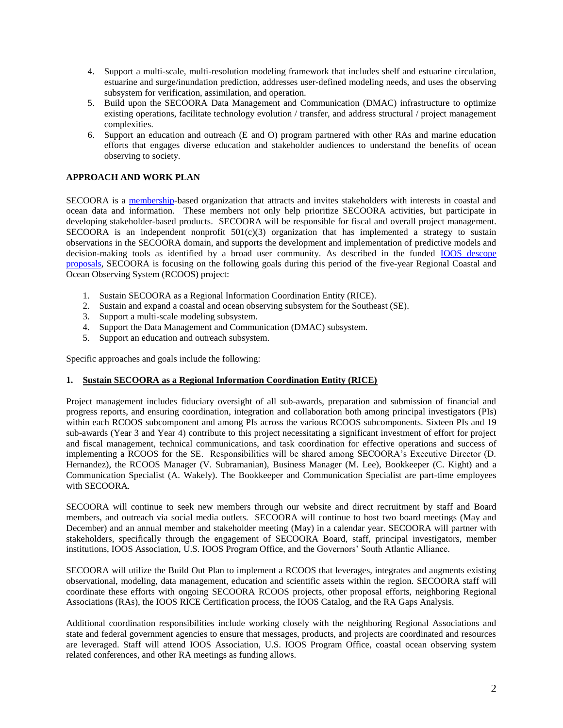- 4. Support a multi-scale, multi-resolution modeling framework that includes shelf and estuarine circulation, estuarine and surge/inundation prediction, addresses user-defined modeling needs, and uses the observing subsystem for verification, assimilation, and operation.
- 5. Build upon the SECOORA Data Management and Communication (DMAC) infrastructure to optimize existing operations, facilitate technology evolution / transfer, and address structural / project management complexities.
- 6. Support an education and outreach (E and O) program partnered with other RAs and marine education efforts that engages diverse education and stakeholder audiences to understand the benefits of ocean observing to society.

# **APPROACH AND WORK PLAN**

SECOORA is a [membership-](http://www.secoora.org/about/membership#http://www.secoora.org/about/membership)based organization that attracts and invites stakeholders with interests in coastal and ocean data and information. These members not only help prioritize SECOORA activities, but participate in developing stakeholder-based products. SECOORA will be responsible for fiscal and overall project management. SECOORA is an independent nonprofit  $501(c)(3)$  organization that has implemented a strategy to sustain observations in the SECOORA domain, and supports the development and implementation of predictive models and decision-making tools as identified by a broad user community. As described in the funded **IOOS** descope [proposals,](http://secoora.org/about/theme_areas/projects) SECOORA is focusing on the following goals during this period of the five-year Regional Coastal and Ocean Observing System (RCOOS) project:

- 1. Sustain SECOORA as a Regional Information Coordination Entity (RICE).
- 2. Sustain and expand a coastal and ocean observing subsystem for the Southeast (SE).
- 3. Support a multi-scale modeling subsystem.
- 4. Support the Data Management and Communication (DMAC) subsystem.
- 5. Support an education and outreach subsystem.

Specific approaches and goals include the following:

## **1. Sustain SECOORA as a Regional Information Coordination Entity (RICE)**

Project management includes fiduciary oversight of all sub-awards, preparation and submission of financial and progress reports, and ensuring coordination, integration and collaboration both among principal investigators (PIs) within each RCOOS subcomponent and among PIs across the various RCOOS subcomponents. Sixteen PIs and 19 sub-awards (Year 3 and Year 4) contribute to this project necessitating a significant investment of effort for project and fiscal management, technical communications, and task coordination for effective operations and success of implementing a RCOOS for the SE. Responsibilities will be shared among SECOORA's Executive Director (D. Hernandez), the RCOOS Manager (V. Subramanian), Business Manager (M. Lee), Bookkeeper (C. Kight) and a Communication Specialist (A. Wakely). The Bookkeeper and Communication Specialist are part-time employees with SECOORA.

SECOORA will continue to seek new members through our website and direct recruitment by staff and Board members, and outreach via social media outlets. SECOORA will continue to host two board meetings (May and December) and an annual member and stakeholder meeting (May) in a calendar year. SECOORA will partner with stakeholders, specifically through the engagement of SECOORA Board, staff, principal investigators, member institutions, IOOS Association, U.S. IOOS Program Office, and the Governors' South Atlantic Alliance.

SECOORA will utilize the Build Out Plan to implement a RCOOS that leverages, integrates and augments existing observational, modeling, data management, education and scientific assets within the region. SECOORA staff will coordinate these efforts with ongoing SECOORA RCOOS projects, other proposal efforts, neighboring Regional Associations (RAs), the IOOS RICE Certification process, the IOOS Catalog, and the RA Gaps Analysis.

Additional coordination responsibilities include working closely with the neighboring Regional Associations and state and federal government agencies to ensure that messages, products, and projects are coordinated and resources are leveraged. Staff will attend IOOS Association, U.S. IOOS Program Office, coastal ocean observing system related conferences, and other RA meetings as funding allows.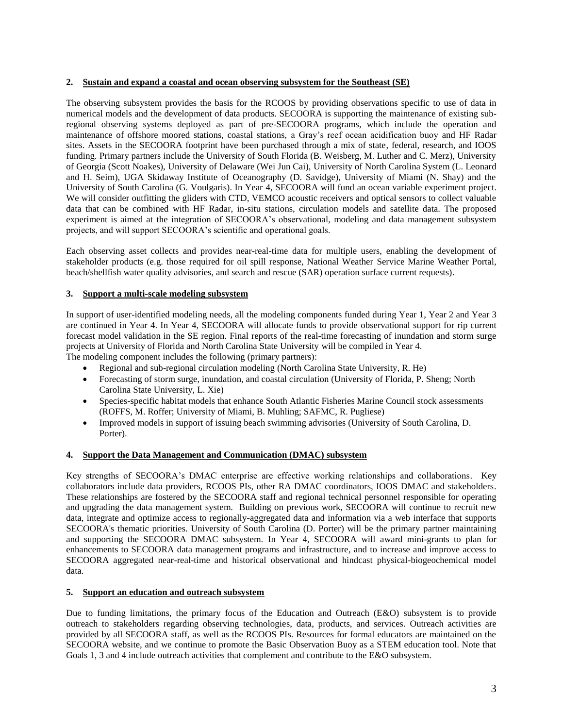## **2. Sustain and expand a coastal and ocean observing subsystem for the Southeast (SE)**

The observing subsystem provides the basis for the RCOOS by providing observations specific to use of data in numerical models and the development of data products. SECOORA is supporting the maintenance of existing subregional observing systems deployed as part of pre-SECOORA programs, which include the operation and maintenance of offshore moored stations, coastal stations, a Gray's reef ocean acidification buoy and HF Radar sites. Assets in the SECOORA footprint have been purchased through a mix of state, federal, research, and IOOS funding. Primary partners include the University of South Florida (B. Weisberg, M. Luther and C. Merz), University of Georgia (Scott Noakes), University of Delaware (Wei Jun Cai), University of North Carolina System (L. Leonard and H. Seim), UGA Skidaway Institute of Oceanography (D. Savidge), University of Miami (N. Shay) and the University of South Carolina (G. Voulgaris). In Year 4, SECOORA will fund an ocean variable experiment project. We will consider outfitting the gliders with CTD, VEMCO acoustic receivers and optical sensors to collect valuable data that can be combined with HF Radar, in-situ stations, circulation models and satellite data. The proposed experiment is aimed at the integration of SECOORA's observational, modeling and data management subsystem projects, and will support SECOORA's scientific and operational goals.

Each observing asset collects and provides near-real-time data for multiple users, enabling the development of stakeholder products (e.g. those required for oil spill response, National Weather Service Marine Weather Portal, beach/shellfish water quality advisories, and search and rescue (SAR) operation surface current requests).

## **3. Support a multi-scale modeling subsystem**

In support of user-identified modeling needs, all the modeling components funded during Year 1, Year 2 and Year 3 are continued in Year 4. In Year 4, SECOORA will allocate funds to provide observational support for rip current forecast model validation in the SE region. Final reports of the real-time forecasting of inundation and storm surge projects at University of Florida and North Carolina State University will be compiled in Year 4. The modeling component includes the following (primary partners):

- Regional and sub-regional circulation modeling (North Carolina State University, R. He)
- Forecasting of storm surge, inundation, and coastal circulation (University of Florida, P. Sheng; North Carolina State University, L. Xie)
- Species-specific habitat models that enhance South Atlantic Fisheries Marine Council stock assessments (ROFFS, M. Roffer; University of Miami, B. Muhling; SAFMC, R. Pugliese)
- Improved models in support of issuing beach swimming advisories (University of South Carolina, D. Porter).

## **4. Support the Data Management and Communication (DMAC) subsystem**

Key strengths of SECOORA's DMAC enterprise are effective working relationships and collaborations. Key collaborators include data providers, RCOOS PIs, other RA DMAC coordinators, IOOS DMAC and stakeholders. These relationships are fostered by the SECOORA staff and regional technical personnel responsible for operating and upgrading the data management system. Building on previous work, SECOORA will continue to recruit new data, integrate and optimize access to regionally-aggregated data and information via a web interface that supports SECOORA's thematic priorities. University of South Carolina (D. Porter) will be the primary partner maintaining and supporting the SECOORA DMAC subsystem. In Year 4, SECOORA will award mini-grants to plan for enhancements to SECOORA data management programs and infrastructure, and to increase and improve access to SECOORA aggregated near-real-time and historical observational and hindcast physical-biogeochemical model data.

## **5. Support an education and outreach subsystem**

Due to funding limitations, the primary focus of the Education and Outreach (E&O) subsystem is to provide outreach to stakeholders regarding observing technologies, data, products, and services. Outreach activities are provided by all SECOORA staff, as well as the RCOOS PIs. Resources for formal educators are maintained on the SECOORA website, and we continue to promote the Basic Observation Buoy as a STEM education tool. Note that Goals 1, 3 and 4 include outreach activities that complement and contribute to the E&O subsystem.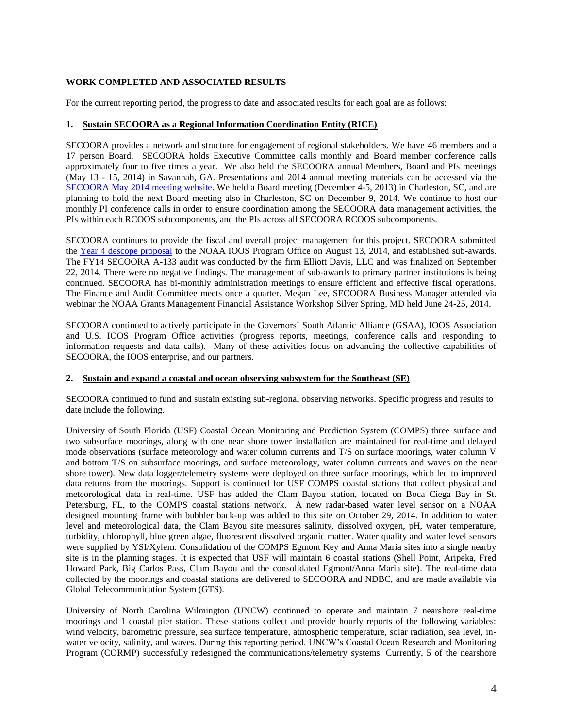### **WORK COMPLETED AND ASSOCIATED RESULTS**

For the current reporting period, the progress to date and associated results for each goal are as follows:

#### **1. Sustain SECOORA as a Regional Information Coordination Entity (RICE)**

SECOORA provides a network and structure for engagement of regional stakeholders. We have 46 members and a 17 person Board. SECOORA holds Executive Committee calls monthly and Board member conference calls approximately four to five times a year. We also held the SECOORA annual Members, Board and PIs meetings (May 13 - 15, 2014) in Savannah, GA. Presentations and 2014 annual meeting materials can be accessed via the [SECOORA May 2014 meeting website.](http://secoora.org/node/424) We held a Board meeting (December 4-5, 2013) in Charleston, SC, and are planning to hold the next Board meeting also in Charleston, SC on December 9, 2014. We continue to host our monthly PI conference calls in order to ensure coordination among the SECOORA data management activities, the PIs within each RCOOS subcomponents, and the PIs across all SECOORA RCOOS subcomponents.

SECOORA continues to provide the fiscal and overall project management for this project. SECOORA submitted the Year 4 [descope proposal](http://secoora.org/sites/default/files/webfm/members/documents/FY14_Descope_FINAL.pdf) to the NOAA IOOS Program Office on August 13, 2014, and established sub-awards. The FY14 SECOORA A-133 audit was conducted by the firm Elliott Davis, LLC and was finalized on September 22, 2014. There were no negative findings. The management of sub-awards to primary partner institutions is being continued. SECOORA has bi-monthly administration meetings to ensure efficient and effective fiscal operations. The Finance and Audit Committee meets once a quarter. Megan Lee, SECOORA Business Manager attended via webinar the NOAA Grants Management Financial Assistance Workshop Silver Spring, MD held June 24-25, 2014.

SECOORA continued to actively participate in the Governors' South Atlantic Alliance (GSAA), IOOS Association and U.S. IOOS Program Office activities (progress reports, meetings, conference calls and responding to information requests and data calls). Many of these activities focus on advancing the collective capabilities of SECOORA, the IOOS enterprise, and our partners.

#### **2. Sustain and expand a coastal and ocean observing subsystem for the Southeast (SE)**

SECOORA continued to fund and sustain existing sub-regional observing networks. Specific progress and results to date include the following.

University of South Florida (USF) Coastal Ocean Monitoring and Prediction System (COMPS) three surface and two subsurface moorings, along with one near shore tower installation are maintained for real-time and delayed mode observations (surface meteorology and water column currents and T/S on surface moorings, water column V and bottom T/S on subsurface moorings, and surface meteorology, water column currents and waves on the near shore tower). New data logger/telemetry systems were deployed on three surface moorings, which led to improved data returns from the moorings. Support is continued for USF COMPS coastal stations that collect physical and meteorological data in real-time. USF has added the Clam Bayou station, located on Boca Ciega Bay in St. Petersburg, FL, to the COMPS coastal stations network. A new radar-based water level sensor on a NOAA designed mounting frame with bubbler back-up was added to this site on October 29, 2014. In addition to water level and meteorological data, the Clam Bayou site measures salinity, dissolved oxygen, pH, water temperature, turbidity, chlorophyll, blue green algae, fluorescent dissolved organic matter. Water quality and water level sensors were supplied by YSI/Xylem. Consolidation of the COMPS Egmont Key and Anna Maria sites into a single nearby site is in the planning stages. It is expected that USF will maintain 6 coastal stations (Shell Point, Aripeka, Fred Howard Park, Big Carlos Pass, Clam Bayou and the consolidated Egmont/Anna Maria site). The real-time data collected by the moorings and coastal stations are delivered to SECOORA and NDBC, and are made available via Global Telecommunication System (GTS).

University of North Carolina Wilmington (UNCW) continued to operate and maintain 7 nearshore real-time moorings and 1 coastal pier station. These stations collect and provide hourly reports of the following variables: wind velocity, barometric pressure, sea surface temperature, atmospheric temperature, solar radiation, sea level, inwater velocity, salinity, and waves. During this reporting period, UNCW's Coastal Ocean Research and Monitoring Program (CORMP) successfully redesigned the communications/telemetry systems. Currently, 5 of the nearshore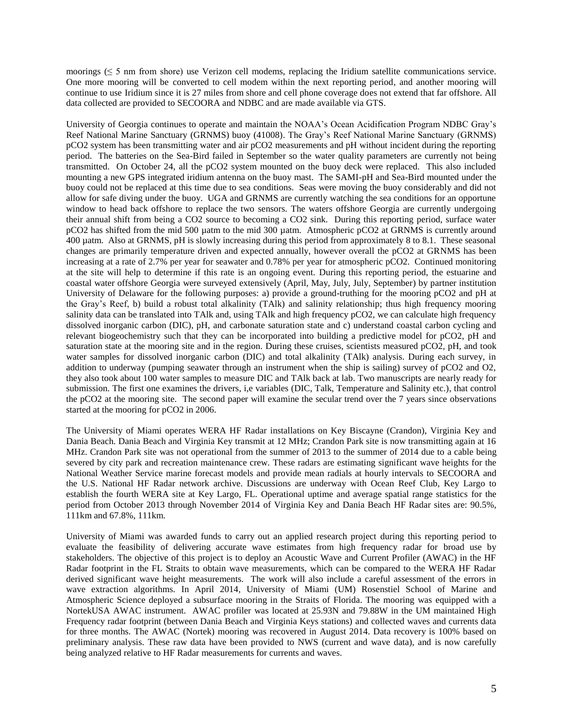moorings (≤ 5 nm from shore) use Verizon cell modems, replacing the Iridium satellite communications service. One more mooring will be converted to cell modem within the next reporting period, and another mooring will continue to use Iridium since it is 27 miles from shore and cell phone coverage does not extend that far offshore. All data collected are provided to SECOORA and NDBC and are made available via GTS.

University of Georgia continues to operate and maintain the NOAA's Ocean Acidification Program NDBC Gray's Reef National Marine Sanctuary (GRNMS) buoy (41008). The Gray's Reef National Marine Sanctuary (GRNMS) pCO2 system has been transmitting water and air pCO2 measurements and pH without incident during the reporting period. The batteries on the Sea-Bird failed in September so the water quality parameters are currently not being transmitted. On October 24, all the pCO2 system mounted on the buoy deck were replaced. This also included mounting a new GPS integrated iridium antenna on the buoy mast. The SAMI-pH and Sea-Bird mounted under the buoy could not be replaced at this time due to sea conditions. Seas were moving the buoy considerably and did not allow for safe diving under the buoy. UGA and GRNMS are currently watching the sea conditions for an opportune window to head back offshore to replace the two sensors. The waters offshore Georgia are currently undergoing their annual shift from being a CO2 source to becoming a CO2 sink. During this reporting period, surface water pCO2 has shifted from the mid 500 µatm to the mid 300 µatm. Atmospheric pCO2 at GRNMS is currently around 400 µatm. Also at GRNMS, pH is slowly increasing during this period from approximately 8 to 8.1. These seasonal changes are primarily temperature driven and expected annually, however overall the pCO2 at GRNMS has been increasing at a rate of 2.7% per year for seawater and 0.78% per year for atmospheric pCO2. Continued monitoring at the site will help to determine if this rate is an ongoing event. During this reporting period, the estuarine and coastal water offshore Georgia were surveyed extensively (April, May, July, July, September) by partner institution University of Delaware for the following purposes: a) provide a ground-truthing for the mooring pCO2 and pH at the Gray's Reef, b) build a robust total alkalinity (TAlk) and salinity relationship; thus high frequency mooring salinity data can be translated into TAlk and, using TAlk and high frequency pCO2, we can calculate high frequency dissolved inorganic carbon (DIC), pH, and carbonate saturation state and c) understand coastal carbon cycling and relevant biogeochemistry such that they can be incorporated into building a predictive model for pCO2, pH and saturation state at the mooring site and in the region. During these cruises, scientists measured pCO2, pH, and took water samples for dissolved inorganic carbon (DIC) and total alkalinity (TAlk) analysis. During each survey, in addition to underway (pumping seawater through an instrument when the ship is sailing) survey of pCO2 and O2, they also took about 100 water samples to measure DIC and TAlk back at lab. Two manuscripts are nearly ready for submission. The first one examines the drivers, i,e variables (DIC, Talk, Temperature and Salinity etc.), that control the pCO2 at the mooring site. The second paper will examine the secular trend over the 7 years since observations started at the mooring for pCO2 in 2006.

The University of Miami operates WERA HF Radar installations on Key Biscayne (Crandon), Virginia Key and Dania Beach. Dania Beach and Virginia Key transmit at 12 MHz; Crandon Park site is now transmitting again at 16 MHz. Crandon Park site was not operational from the summer of 2013 to the summer of 2014 due to a cable being severed by city park and recreation maintenance crew. These radars are estimating significant wave heights for the National Weather Service marine forecast models and provide mean radials at hourly intervals to SECOORA and the U.S. National HF Radar network archive. Discussions are underway with Ocean Reef Club, Key Largo to establish the fourth WERA site at Key Largo, FL. Operational uptime and average spatial range statistics for the period from October 2013 through November 2014 of Virginia Key and Dania Beach HF Radar sites are: 90.5%, 111km and 67.8%, 111km.

University of Miami was awarded funds to carry out an applied research project during this reporting period to evaluate the feasibility of delivering accurate wave estimates from high frequency radar for broad use by stakeholders. The objective of this project is to deploy an Acoustic Wave and Current Profiler (AWAC) in the HF Radar footprint in the FL Straits to obtain wave measurements, which can be compared to the WERA HF Radar derived significant wave height measurements. The work will also include a careful assessment of the errors in wave extraction algorithms. In April 2014, University of Miami (UM) Rosenstiel School of Marine and Atmospheric Science deployed a subsurface mooring in the Straits of Florida. The mooring was equipped with a NortekUSA AWAC instrument. AWAC profiler was located at 25.93N and 79.88W in the UM maintained High Frequency radar footprint (between Dania Beach and Virginia Keys stations) and collected waves and currents data for three months. The AWAC (Nortek) mooring was recovered in August 2014. Data recovery is 100% based on preliminary analysis. These raw data have been provided to NWS (current and wave data), and is now carefully being analyzed relative to HF Radar measurements for currents and waves.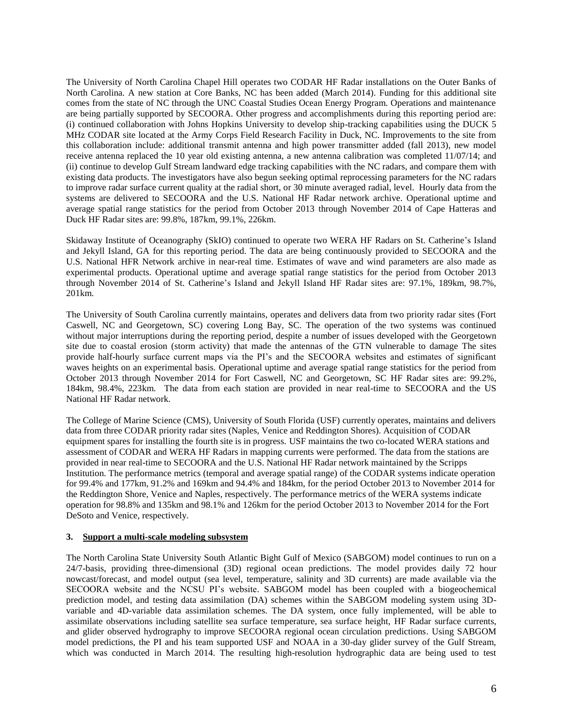The University of North Carolina Chapel Hill operates two CODAR HF Radar installations on the Outer Banks of North Carolina. A new station at Core Banks, NC has been added (March 2014). Funding for this additional site comes from the state of NC through the UNC Coastal Studies Ocean Energy Program. Operations and maintenance are being partially supported by SECOORA. Other progress and accomplishments during this reporting period are: (i) continued collaboration with Johns Hopkins University to develop ship-tracking capabilities using the DUCK 5 MHz CODAR site located at the Army Corps Field Research Facility in Duck, NC. Improvements to the site from this collaboration include: additional transmit antenna and high power transmitter added (fall 2013), new model receive antenna replaced the 10 year old existing antenna, a new antenna calibration was completed 11/07/14; and (ii) continue to develop Gulf Stream landward edge tracking capabilities with the NC radars, and compare them with existing data products. The investigators have also begun seeking optimal reprocessing parameters for the NC radars to improve radar surface current quality at the radial short, or 30 minute averaged radial, level. Hourly data from the systems are delivered to SECOORA and the U.S. National HF Radar network archive. Operational uptime and average spatial range statistics for the period from October 2013 through November 2014 of Cape Hatteras and Duck HF Radar sites are: 99.8%, 187km, 99.1%, 226km.

Skidaway Institute of Oceanography (SkIO) continued to operate two WERA HF Radars on St. Catherine's Island and Jekyll Island, GA for this reporting period. The data are being continuously provided to SECOORA and the U.S. National HFR Network archive in near-real time. Estimates of wave and wind parameters are also made as experimental products. Operational uptime and average spatial range statistics for the period from October 2013 through November 2014 of St. Catherine's Island and Jekyll Island HF Radar sites are: 97.1%, 189km, 98.7%, 201km.

The University of South Carolina currently maintains, operates and delivers data from two priority radar sites (Fort Caswell, NC and Georgetown, SC) covering Long Bay, SC. The operation of the two systems was continued without major interruptions during the reporting period, despite a number of issues developed with the Georgetown site due to coastal erosion (storm activity) that made the antennas of the GTN vulnerable to damage The sites provide half-hourly surface current maps via the PI's and the SECOORA websites and estimates of significant waves heights on an experimental basis. Operational uptime and average spatial range statistics for the period from October 2013 through November 2014 for Fort Caswell, NC and Georgetown, SC HF Radar sites are: 99.2%, 184km, 98.4%, 223km. The data from each station are provided in near real-time to SECOORA and the US National HF Radar network.

The College of Marine Science (CMS), University of South Florida (USF) currently operates, maintains and delivers data from three CODAR priority radar sites (Naples, Venice and Reddington Shores). Acquisition of CODAR equipment spares for installing the fourth site is in progress. USF maintains the two co-located WERA stations and assessment of CODAR and WERA HF Radars in mapping currents were performed. The data from the stations are provided in near real-time to SECOORA and the U.S. National HF Radar network maintained by the Scripps Institution. The performance metrics (temporal and average spatial range) of the CODAR systems indicate operation for 99.4% and 177km, 91.2% and 169km and 94.4% and 184km, for the period October 2013 to November 2014 for the Reddington Shore, Venice and Naples, respectively. The performance metrics of the WERA systems indicate operation for 98.8% and 135km and 98.1% and 126km for the period October 2013 to November 2014 for the Fort DeSoto and Venice, respectively.

## **3. Support a multi-scale modeling subsystem**

The North Carolina State University South Atlantic Bight Gulf of Mexico (SABGOM) model continues to run on a 24/7-basis, providing three-dimensional (3D) regional ocean predictions. The model provides daily 72 hour nowcast/forecast, and model output (sea level, temperature, salinity and 3D currents) are made available via the SECOORA website and the NCSU PI's website. SABGOM model has been coupled with a biogeochemical prediction model, and testing data assimilation (DA) schemes within the SABGOM modeling system using 3Dvariable and 4D-variable data assimilation schemes. The DA system, once fully implemented, will be able to assimilate observations including satellite sea surface temperature, sea surface height, HF Radar surface currents, and glider observed hydrography to improve SECOORA regional ocean circulation predictions. Using SABGOM model predictions, the PI and his team supported USF and NOAA in a 30-day glider survey of the Gulf Stream, which was conducted in March 2014. The resulting high-resolution hydrographic data are being used to test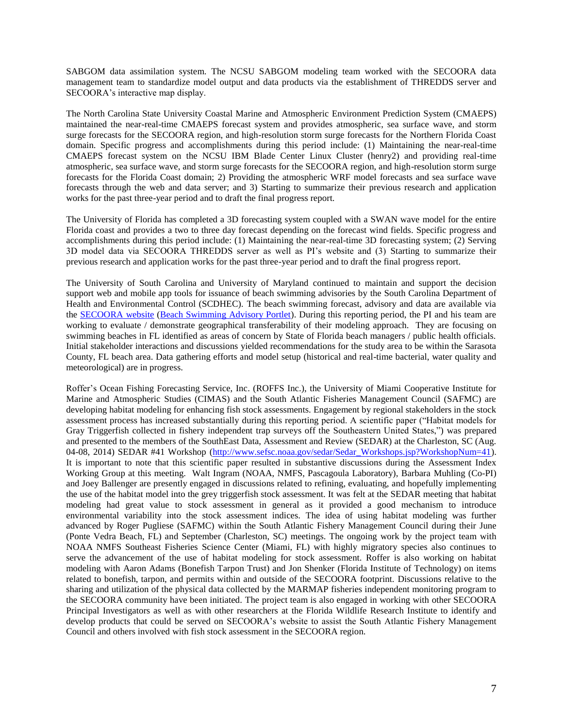SABGOM data assimilation system. The NCSU SABGOM modeling team worked with the SECOORA data management team to standardize model output and data products via the establishment of THREDDS server and SECOORA's interactive map display.

The North Carolina State University Coastal Marine and Atmospheric Environment Prediction System (CMAEPS) maintained the near-real-time CMAEPS forecast system and provides atmospheric, sea surface wave, and storm surge forecasts for the SECOORA region, and high-resolution storm surge forecasts for the Northern Florida Coast domain. Specific progress and accomplishments during this period include: (1) Maintaining the near-real-time CMAEPS forecast system on the NCSU IBM Blade Center Linux Cluster (henry2) and providing real-time atmospheric, sea surface wave, and storm surge forecasts for the SECOORA region, and high-resolution storm surge forecasts for the Florida Coast domain; 2) Providing the atmospheric WRF model forecasts and sea surface wave forecasts through the web and data server; and 3) Starting to summarize their previous research and application works for the past three-year period and to draft the final progress report.

The University of Florida has completed a 3D forecasting system coupled with a SWAN wave model for the entire Florida coast and provides a two to three day forecast depending on the forecast wind fields. Specific progress and accomplishments during this period include: (1) Maintaining the near-real-time 3D forecasting system; (2) Serving 3D model data via SECOORA THREDDS server as well as PI's website and (3) Starting to summarize their previous research and application works for the past three-year period and to draft the final progress report.

The University of South Carolina and University of Maryland continued to maintain and support the decision support web and mobile app tools for issuance of beach swimming advisories by the South Carolina Department of Health and Environmental Control (SCDHEC). The beach swimming forecast, advisory and data are available via the [SECOORA website](http://secoora.org/projects/beach_wq) [\(Beach Swimming Advisory Portlet\)](http://howsthebeach.org/). During this reporting period, the PI and his team are working to evaluate / demonstrate geographical transferability of their modeling approach. They are focusing on swimming beaches in FL identified as areas of concern by State of Florida beach managers / public health officials. Initial stakeholder interactions and discussions yielded recommendations for the study area to be within the Sarasota County, FL beach area. Data gathering efforts and model setup (historical and real-time bacterial, water quality and meteorological) are in progress.

Roffer's Ocean Fishing Forecasting Service, Inc. (ROFFS Inc.), the University of Miami Cooperative Institute for Marine and Atmospheric Studies (CIMAS) and the South Atlantic Fisheries Management Council (SAFMC) are developing habitat modeling for enhancing fish stock assessments. Engagement by regional stakeholders in the stock assessment process has increased substantially during this reporting period. A scientific paper ("Habitat models for Gray Triggerfish collected in fishery independent trap surveys off the Southeastern United States,") was prepared and presented to the members of the SouthEast Data, Assessment and Review (SEDAR) at the Charleston, SC (Aug. 04-08, 2014) SEDAR #41 Workshop [\(http://www.sefsc.noaa.gov/sedar/Sedar\\_Workshops.jsp?WorkshopNum=41\)](http://www.sefsc.noaa.gov/sedar/Sedar_Workshops.jsp?WorkshopNum=41). It is important to note that this scientific paper resulted in substantive discussions during the Assessment Index Working Group at this meeting. Walt Ingram (NOAA, NMFS, Pascagoula Laboratory), Barbara Muhling (Co-PI) and Joey Ballenger are presently engaged in discussions related to refining, evaluating, and hopefully implementing the use of the habitat model into the grey triggerfish stock assessment. It was felt at the SEDAR meeting that habitat modeling had great value to stock assessment in general as it provided a good mechanism to introduce environmental variability into the stock assessment indices. The idea of using habitat modeling was further advanced by Roger Pugliese (SAFMC) within the South Atlantic Fishery Management Council during their June (Ponte Vedra Beach, FL) and September (Charleston, SC) meetings. The ongoing work by the project team with NOAA NMFS Southeast Fisheries Science Center (Miami, FL) with highly migratory species also continues to serve the advancement of the use of habitat modeling for stock assessment. Roffer is also working on habitat modeling with Aaron Adams (Bonefish Tarpon Trust) and Jon Shenker (Florida Institute of Technology) on items related to bonefish, tarpon, and permits within and outside of the SECOORA footprint. Discussions relative to the sharing and utilization of the physical data collected by the MARMAP fisheries independent monitoring program to the SECOORA community have been initiated. The project team is also engaged in working with other SECOORA Principal Investigators as well as with other researchers at the Florida Wildlife Research Institute to identify and develop products that could be served on SECOORA's website to assist the South Atlantic Fishery Management Council and others involved with fish stock assessment in the SECOORA region.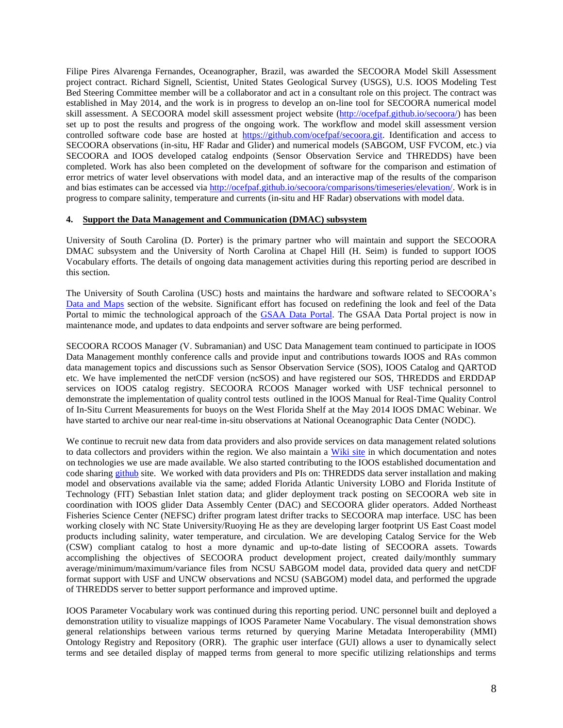Filipe Pires Alvarenga Fernandes, Oceanographer, Brazil, was awarded the SECOORA Model Skill Assessment project contract. Richard Signell, Scientist, United States Geological Survey (USGS), U.S. IOOS Modeling Test Bed Steering Committee member will be a collaborator and act in a consultant role on this project. The contract was established in May 2014, and the work is in progress to develop an on-line tool for SECOORA numerical model skill assessment. A SECOORA model skill assessment project website [\(http://ocefpaf.github.io/secoora/\)](http://ocefpaf.github.io/secoora/) has been set up to post the results and progress of the ongoing work. The workflow and model skill assessment version controlled software code base are hosted at [https://github.com/ocefpaf/secoora.git.](https://github.com/ocefpaf/secoora.git) Identification and access to SECOORA observations (in-situ, HF Radar and Glider) and numerical models (SABGOM, USF FVCOM, etc.) via SECOORA and IOOS developed catalog endpoints (Sensor Observation Service and THREDDS) have been completed. Work has also been completed on the development of software for the comparison and estimation of error metrics of water level observations with model data, and an interactive map of the results of the comparison and bias estimates can be accessed via [http://ocefpaf.github.io/secoora/comparisons/timeseries/elevation/.](http://ocefpaf.github.io/secoora/comparisons/timeseries/elevation/) Work is in progress to compare salinity, temperature and currents (in-situ and HF Radar) observations with model data.

### **4. Support the Data Management and Communication (DMAC) subsystem**

University of South Carolina (D. Porter) is the primary partner who will maintain and support the SECOORA DMAC subsystem and the University of North Carolina at Chapel Hill (H. Seim) is funded to support IOOS Vocabulary efforts. The details of ongoing data management activities during this reporting period are described in this section.

The University of South Carolina (USC) hosts and maintains the hardware and software related to SECOORA's [Data and Maps](http://secoora.org/maps/) section of the website. Significant effort has focused on redefining the look and feel of the Data Portal to mimic the technological approach of the [GSAA Data Portal.](http://www.gsaaportal.org/) The GSAA Data Portal project is now in maintenance mode, and updates to data endpoints and server software are being performed.

SECOORA RCOOS Manager (V. Subramanian) and USC Data Management team continued to participate in IOOS Data Management monthly conference calls and provide input and contributions towards IOOS and RAs common data management topics and discussions such as Sensor Observation Service (SOS), IOOS Catalog and QARTOD etc. We have implemented the netCDF version (ncSOS) and have registered our SOS, THREDDS and ERDDAP services on IOOS catalog registry. SECOORA RCOOS Manager worked with USF technical personnel to demonstrate the implementation of quality control tests outlined in the IOOS Manual for Real-Time Quality Control of In-Situ Current Measurements for buoys on the West Florida Shelf at the May 2014 IOOS DMAC Webinar. We have started to archive our near real-time in-situ observations at National Oceanographic Data Center (NODC).

We continue to recruit new data from data providers and also provide services on data management related solutions to data collectors and providers within the region. We also maintain a [Wiki site](http://code.google.com/p/xenia/w/list) in which documentation and notes on technologies we use are made available. We also started contributing to the IOOS established documentation and code sharing [github](https://github.com/ioos) site. We worked with data providers and PIs on: THREDDS data server installation and making model and observations available via the same; added Florida Atlantic University LOBO and Florida Institute of Technology (FIT) Sebastian Inlet station data; and glider deployment track posting on SECOORA web site in coordination with IOOS glider Data Assembly Center (DAC) and SECOORA glider operators. Added Northeast Fisheries Science Center (NEFSC) drifter program latest drifter tracks to SECOORA map interface. USC has been working closely with NC State University/Ruoying He as they are developing larger footprint US East Coast model products including salinity, water temperature, and circulation. We are developing Catalog Service for the Web (CSW) compliant catalog to host a more dynamic and up-to-date listing of SECOORA assets. Towards accomplishing the objectives of SECOORA product development project, created daily/monthly summary average/minimum/maximum/variance files from NCSU SABGOM model data, provided data query and netCDF format support with USF and UNCW observations and NCSU (SABGOM) model data, and performed the upgrade of THREDDS server to better support performance and improved uptime.

IOOS Parameter Vocabulary work was continued during this reporting period. UNC personnel built and deployed a demonstration utility to visualize mappings of IOOS Parameter Name Vocabulary. The visual demonstration shows general relationships between various terms returned by querying Marine Metadata Interoperability (MMI) Ontology Registry and Repository (ORR). The graphic user interface (GUI) allows a user to dynamically select terms and see detailed display of mapped terms from general to more specific utilizing relationships and terms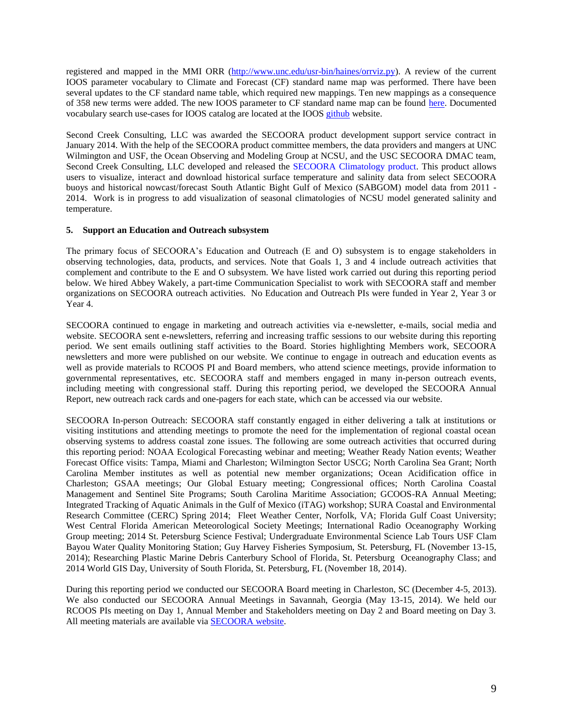registered and mapped in the MMI ORR [\(http://www.unc.edu/usr-bin/haines/orrviz.py\)](http://www.unc.edu/usr-bin/haines/orrviz.py). A review of the current IOOS parameter vocabulary to Climate and Forecast (CF) standard name map was performed. There have been several updates to the CF standard name table, which required new mappings. Ten new mappings as a consequence of 358 new terms were added. The new IOOS parameter to CF standard name map can be found [here.](http://mmisw.org/orr/#http://mmisw.org/ont/ioos/map_ioos_cf) Documented vocabulary search use-cases for IOOS catalog are located at the IOOS [github](https://github.com/ioos/catalog/wiki) website.

Second Creek Consulting, LLC was awarded the SECOORA product development support service contract in January 2014. With the help of the SECOORA product committee members, the data providers and mangers at UNC Wilmington and USF, the Ocean Observing and Modeling Group at NCSU, and the USC SECOORA DMAC team, Second Creek Consulting, LLC developed and released the [SECOORA Climatology product.](http://secoora.org/data/secooraclimatology) This product allows users to visualize, interact and download historical surface temperature and salinity data from select SECOORA buoys and historical nowcast/forecast South Atlantic Bight Gulf of Mexico (SABGOM) model data from 2011 - 2014. Work is in progress to add visualization of seasonal climatologies of NCSU model generated salinity and temperature.

### **5. Support an Education and Outreach subsystem**

The primary focus of SECOORA's Education and Outreach (E and O) subsystem is to engage stakeholders in observing technologies, data, products, and services. Note that Goals 1, 3 and 4 include outreach activities that complement and contribute to the E and O subsystem. We have listed work carried out during this reporting period below. We hired Abbey Wakely, a part-time Communication Specialist to work with SECOORA staff and member organizations on SECOORA outreach activities. No Education and Outreach PIs were funded in Year 2, Year 3 or Year 4.

SECOORA continued to engage in marketing and outreach activities via e-newsletter, e-mails, social media and website. SECOORA sent e-newsletters, referring and increasing traffic sessions to our website during this reporting period. We sent emails outlining staff activities to the Board. Stories highlighting Members work, SECOORA newsletters and more were published on our website. We continue to engage in outreach and education events as well as provide materials to RCOOS PI and Board members, who attend science meetings, provide information to governmental representatives, etc. SECOORA staff and members engaged in many in-person outreach events, including meeting with congressional staff. During this reporting period, we developed the SECOORA Annual Report, new outreach rack cards and one-pagers for each state, which can be accessed via our website.

SECOORA In-person Outreach: SECOORA staff constantly engaged in either delivering a talk at institutions or visiting institutions and attending meetings to promote the need for the implementation of regional coastal ocean observing systems to address coastal zone issues. The following are some outreach activities that occurred during this reporting period: NOAA Ecological Forecasting webinar and meeting; Weather Ready Nation events; Weather Forecast Office visits: Tampa, Miami and Charleston; Wilmington Sector USCG; North Carolina Sea Grant; North Carolina Member institutes as well as potential new member organizations; Ocean Acidification office in Charleston; GSAA meetings; Our Global Estuary meeting; Congressional offices; North Carolina Coastal Management and Sentinel Site Programs; South Carolina Maritime Association; GCOOS-RA Annual Meeting; Integrated Tracking of Aquatic Animals in the Gulf of Mexico (iTAG) workshop; SURA Coastal and Environmental Research Committee (CERC) Spring 2014; Fleet Weather Center, Norfolk, VA; Florida Gulf Coast University; West Central Florida American Meteorological Society Meetings; International Radio Oceanography Working Group meeting; 2014 St. Petersburg Science Festival; Undergraduate Environmental Science Lab Tours USF Clam Bayou Water Quality Monitoring Station; Guy Harvey Fisheries Symposium, St. Petersburg, FL (November 13-15, 2014); Researching Plastic Marine Debris Canterbury School of Florida, St. Petersburg Oceanography Class; and 2014 World GIS Day, University of South Florida, St. Petersburg, FL (November 18, 2014).

During this reporting period we conducted our SECOORA Board meeting in Charleston, SC (December 4-5, 2013). We also conducted our SECOORA Annual Meetings in Savannah, Georgia (May 13-15, 2014). We held our RCOOS PIs meeting on Day 1, Annual Member and Stakeholders meeting on Day 2 and Board meeting on Day 3. All meeting materials are available via [SECOORA website.](http://secoora.org/node/424/)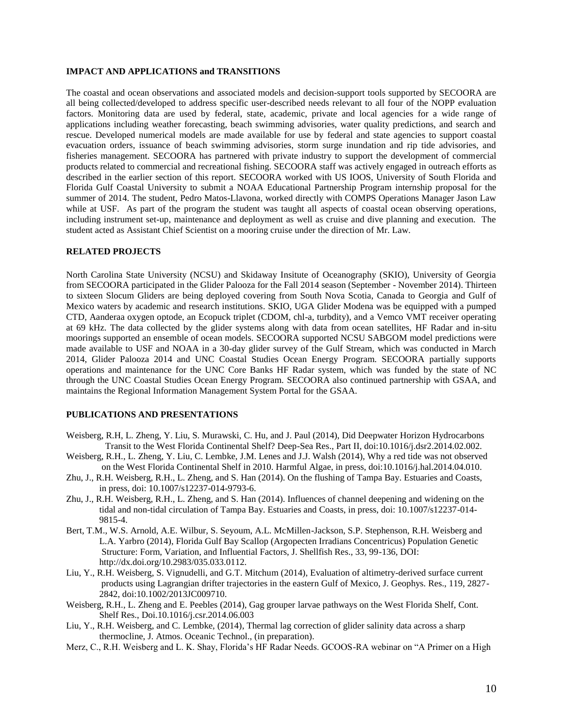#### **IMPACT AND APPLICATIONS and TRANSITIONS**

The coastal and ocean observations and associated models and decision-support tools supported by SECOORA are all being collected/developed to address specific user-described needs relevant to all four of the NOPP evaluation factors. Monitoring data are used by federal, state, academic, private and local agencies for a wide range of applications including weather forecasting, beach swimming advisories, water quality predictions, and search and rescue. Developed numerical models are made available for use by federal and state agencies to support coastal evacuation orders, issuance of beach swimming advisories, storm surge inundation and rip tide advisories, and fisheries management. SECOORA has partnered with private industry to support the development of commercial products related to commercial and recreational fishing. SECOORA staff was actively engaged in outreach efforts as described in the earlier section of this report. SECOORA worked with US IOOS, University of South Florida and Florida Gulf Coastal University to submit a NOAA Educational Partnership Program internship proposal for the summer of 2014. The student, Pedro Matos-Llavona, worked directly with COMPS Operations Manager Jason Law while at USF. As part of the program the student was taught all aspects of coastal ocean observing operations, including instrument set-up, maintenance and deployment as well as cruise and dive planning and execution. The student acted as Assistant Chief Scientist on a mooring cruise under the direction of Mr. Law.

#### **RELATED PROJECTS**

North Carolina State University (NCSU) and Skidaway Insitute of Oceanography (SKIO), University of Georgia from SECOORA participated in the Glider Palooza for the Fall 2014 season (September - November 2014). Thirteen to sixteen Slocum Gliders are being deployed covering from South Nova Scotia, Canada to Georgia and Gulf of Mexico waters by academic and research institutions. SKIO, UGA Glider Modena was be equipped with a pumped CTD, Aanderaa oxygen optode, an Ecopuck triplet (CDOM, chl-a, turbdity), and a Vemco VMT receiver operating at 69 kHz. The data collected by the glider systems along with data from ocean satellites, HF Radar and in-situ moorings supported an ensemble of ocean models. SECOORA supported NCSU SABGOM model predictions were made available to USF and NOAA in a 30-day glider survey of the Gulf Stream, which was conducted in March 2014, Glider Palooza 2014 and UNC Coastal Studies Ocean Energy Program. SECOORA partially supports operations and maintenance for the UNC Core Banks HF Radar system, which was funded by the state of NC through the UNC Coastal Studies Ocean Energy Program. SECOORA also continued partnership with GSAA, and maintains the Regional Information Management System Portal for the GSAA.

### **PUBLICATIONS AND PRESENTATIONS**

- Weisberg, R.H, L. Zheng, Y. Liu, S. Murawski, C. Hu, and J. Paul (2014), Did Deepwater Horizon Hydrocarbons Transit to the West Florida Continental Shelf? Deep-Sea Res., Part II, doi:10.1016/j.dsr2.2014.02.002.
- Weisberg, R.H., L. Zheng, Y. Liu, C. Lembke, J.M. Lenes and J.J. Walsh (2014), Why a red tide was not observed on the West Florida Continental Shelf in 2010. Harmful Algae, in press, doi:10.1016/j.hal.2014.04.010.
- Zhu, J., R.H. Weisberg, R.H., L. Zheng, and S. Han (2014). On the flushing of Tampa Bay. Estuaries and Coasts, in press, doi: 10.1007/s12237-014-9793-6.
- Zhu, J., R.H. Weisberg, R.H., L. Zheng, and S. Han (2014). Influences of channel deepening and widening on the tidal and non-tidal circulation of Tampa Bay. Estuaries and Coasts, in press, doi: 10.1007/s12237-014- 9815-4.
- Bert, T.M., W.S. Arnold, A.E. Wilbur, S. Seyoum, A.L. McMillen-Jackson, S.P. Stephenson, R.H. Weisberg and L.A. Yarbro (2014), Florida Gulf Bay Scallop (Argopecten Irradians Concentricus) Population Genetic Structure: Form, Variation, and Influential Factors, J. Shellfish Res., 33, 99-136, DOI: http://dx.doi.org/10.2983/035.033.0112.
- Liu, Y., R.H. Weisberg, S. Vignudelli, and G.T. Mitchum (2014), Evaluation of altimetry-derived surface current products using Lagrangian drifter trajectories in the eastern Gulf of Mexico, J. Geophys. Res., 119, 2827- 2842, doi:10.1002/2013JC009710.
- Weisberg, R.H., L. Zheng and E. Peebles (2014), Gag grouper larvae pathways on the West Florida Shelf, Cont. Shelf Res., Doi.10.1016/j.csr.2014.06.003
- Liu, Y., R.H. Weisberg, and C. Lembke, (2014), Thermal lag correction of glider salinity data across a sharp thermocline, J. Atmos. Oceanic Technol., (in preparation).
- Merz, C., R.H. Weisberg and L. K. Shay, Florida's HF Radar Needs. GCOOS-RA webinar on "A Primer on a High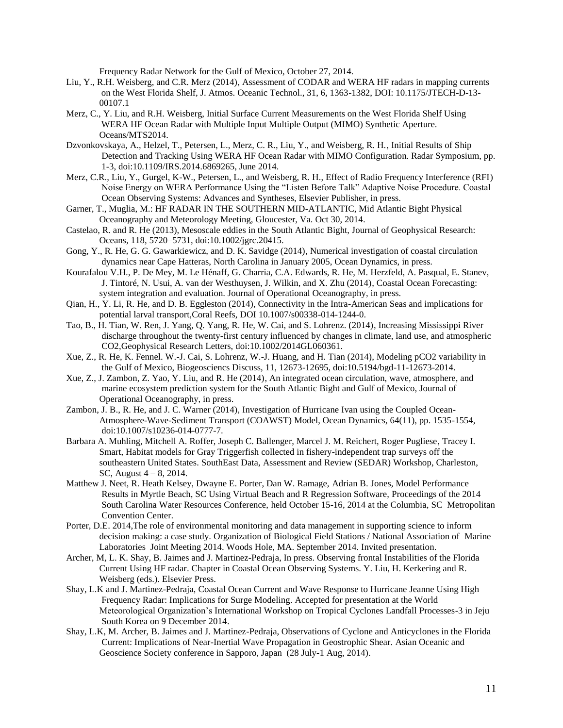Frequency Radar Network for the Gulf of Mexico, October 27, 2014.

- Liu, Y., R.H. Weisberg, and C.R. Merz (2014), Assessment of CODAR and WERA HF radars in mapping currents on the West Florida Shelf, J. Atmos. Oceanic Technol., 31, 6, 1363-1382, DOI: 10.1175/JTECH-D-13- 00107.1
- Merz, C., Y. Liu, and R.H. Weisberg, Initial Surface Current Measurements on the West Florida Shelf Using WERA HF Ocean Radar with Multiple Input Multiple Output (MIMO) Synthetic Aperture. Oceans/MTS2014.
- Dzvonkovskaya, A., Helzel, T., Petersen, L., Merz, C. R., Liu, Y., and Weisberg, R. H., Initial Results of Ship Detection and Tracking Using WERA HF Ocean Radar with MIMO Configuration. Radar Symposium, pp. 1-3, doi:10.1109/IRS.2014.6869265, June 2014.
- Merz, C.R., Liu, Y., Gurgel, K-W., Petersen, L., and Weisberg, R. H., Effect of Radio Frequency Interference (RFI) Noise Energy on WERA Performance Using the "Listen Before Talk" Adaptive Noise Procedure. Coastal Ocean Observing Systems: Advances and Syntheses, Elsevier Publisher, in press.
- Garner, T., Muglia, M.: HF RADAR IN THE SOUTHERN MID-ATLANTIC, Mid Atlantic Bight Physical Oceanography and Meteorology Meeting, Gloucester, Va. Oct 30, 2014.
- Castelao, R. and R. He (2013), Mesoscale eddies in the South Atlantic Bight, Journal of Geophysical Research: Oceans, 118, 5720–5731, doi:10.1002/jgrc.20415.
- Gong, Y., R. He, G. G. Gawarkiewicz, and D. K. Savidge (2014), Numerical investigation of coastal circulation dynamics near Cape Hatteras, North Carolina in January 2005, Ocean Dynamics, in press.
- Kourafalou V.H., P. De Mey, M. Le Hénaff, G. Charria, C.A. Edwards, R. He, M. Herzfeld, A. Pasqual, E. Stanev, J. Tintoré, N. Usui, A. van der Westhuysen, J. Wilkin, and X. Zhu (2014), Coastal Ocean Forecasting: system integration and evaluation. Journal of Operational Oceanography, in press.
- Qian, H., Y. Li, R. He, and D. B. Eggleston (2014), Connectivity in the Intra-American Seas and implications for potential larval transport,Coral Reefs, DOI 10.1007/s00338-014-1244-0.
- Tao, B., H. Tian, W. Ren, J. Yang, Q. Yang, R. He, W. Cai, and S. Lohrenz. (2014), Increasing Mississippi River discharge throughout the twenty-first century influenced by changes in climate, land use, and atmospheric CO2,Geophysical Research Letters, doi:10.1002/2014GL060361.
- Xue, Z., R. He, K. Fennel. W.-J. Cai, S. Lohrenz, W.-J. Huang, and H. Tian (2014), Modeling pCO2 variability in the Gulf of Mexico, Biogeosciencs Discuss, 11, 12673-12695, doi:10.5194/bgd-11-12673-2014.
- Xue, Z., J. Zambon, Z. Yao, Y. Liu, and R. He (2014), An integrated ocean circulation, wave, atmosphere, and marine ecosystem prediction system for the South Atlantic Bight and Gulf of Mexico, Journal of Operational Oceanography, in press.
- Zambon, J. B., R. He, and J. C. Warner (2014), Investigation of Hurricane Ivan using the Coupled Ocean-Atmosphere-Wave-Sediment Transport (COAWST) Model, Ocean Dynamics, 64(11), pp. 1535-1554, doi:10.1007/s10236-014-0777-7.
- Barbara A. Muhling, Mitchell A. Roffer, Joseph C. Ballenger, Marcel J. M. Reichert, Roger Pugliese, Tracey I. Smart, Habitat models for Gray Triggerfish collected in fishery-independent trap surveys off the southeastern United States. SouthEast Data, Assessment and Review (SEDAR) Workshop, Charleston, SC, August 4 – 8, 2014.
- Matthew J. Neet, R. Heath Kelsey, Dwayne E. Porter, Dan W. Ramage, Adrian B. Jones, Model Performance Results in Myrtle Beach, SC Using Virtual Beach and R Regression Software, Proceedings of the 2014 South Carolina Water Resources Conference, held October 15-16, 2014 at the Columbia, SC Metropolitan Convention Center.
- Porter, D.E. 2014,The role of environmental monitoring and data management in supporting science to inform decision making: a case study. Organization of Biological Field Stations / National Association of Marine Laboratories Joint Meeting 2014. Woods Hole, MA. September 2014. Invited presentation.
- Archer, M, L. K. Shay, B. Jaimes and J. Martinez-Pedraja, In press. Observing frontal Instabilities of the Florida Current Using HF radar. Chapter in Coastal Ocean Observing Systems. Y. Liu, H. Kerkering and R. Weisberg (eds.). Elsevier Press.
- Shay, L.K and J. Martinez-Pedraja, Coastal Ocean Current and Wave Response to Hurricane Jeanne Using High Frequency Radar: Implications for Surge Modeling. Accepted for presentation at the World Meteorological Organization's International Workshop on Tropical Cyclones Landfall Processes-3 in Jeju South Korea on 9 December 2014.
- Shay, L.K, M. Archer, B. Jaimes and J. Martinez-Pedraja, Observations of Cyclone and Anticyclones in the Florida Current: Implications of Near-Inertial Wave Propagation in Geostrophic Shear. Asian Oceanic and Geoscience Society conference in Sapporo, Japan (28 July-1 Aug, 2014).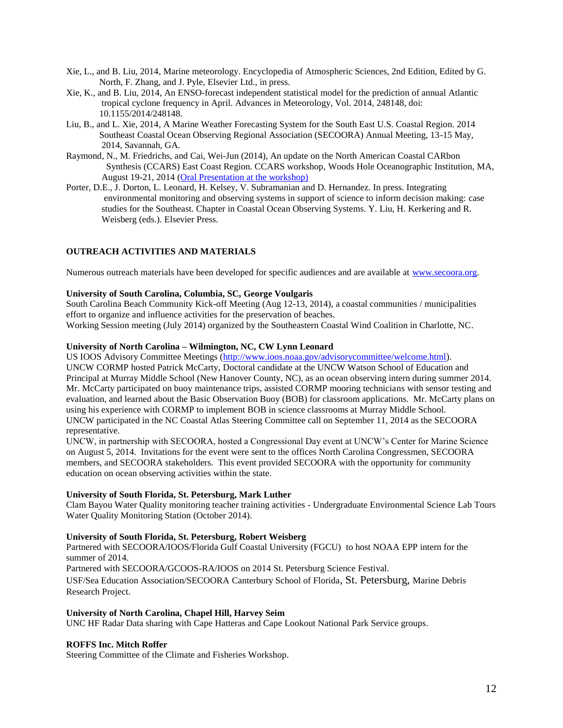- Xie, L., and B. Liu, 2014, Marine meteorology. Encyclopedia of Atmospheric Sciences, 2nd Edition, Edited by G. North, F. Zhang, and J. Pyle, Elsevier Ltd., in press.
- Xie, K., and B. Liu, 2014, An ENSO-forecast independent statistical model for the prediction of annual Atlantic tropical cyclone frequency in April. Advances in Meteorology, Vol. 2014, 248148, doi: 10.1155/2014/248148.
- Liu, B., and L. Xie, 2014, A Marine Weather Forecasting System for the South East U.S. Coastal Region. 2014 Southeast Coastal Ocean Observing Regional Association (SECOORA) Annual Meeting, 13-15 May, 2014, Savannah, GA.
- Raymond, N., M. Friedrichs, and Cai, Wei-Jun (2014), An update on the North American Coastal CARbon Synthesis (CCARS) East Coast Region. CCARS workshop, Woods Hole Oceanographic Institution, MA, August 19-21, 2014 [\(Oral Presentation at the workshop\)](http://www.whoi.edu/fileserver.do?id=190865&pt=2&p=198349)
- Porter, D.E., J. Dorton, L. Leonard, H. Kelsey, V. Subramanian and D. Hernandez. In press. Integrating environmental monitoring and observing systems in support of science to inform decision making: case studies for the Southeast. Chapter in Coastal Ocean Observing Systems. Y. Liu, H. Kerkering and R. Weisberg (eds.). Elsevier Press.

## **OUTREACH ACTIVITIES AND MATERIALS**

Numerous outreach materials have been developed for specific audiences and are available at [www.secoora.org.](http://www.secoora.org/)

### **University of South Carolina, Columbia, SC, George Voulgaris**

South Carolina Beach Community Kick-off Meeting (Aug 12-13, 2014), a coastal communities / municipalities effort to organize and influence activities for the preservation of beaches.

Working Session meeting (July 2014) organized by the Southeastern Coastal Wind Coalition in Charlotte, NC.

## **University of North Carolina – Wilmington, NC, CW Lynn Leonard**

US IOOS Advisory Committee Meetings [\(http://www.ioos.noaa.gov/advisorycommittee/welcome.html\)](http://www.ioos.noaa.gov/advisorycommittee/welcome.html). UNCW CORMP hosted Patrick McCarty, Doctoral candidate at the UNCW Watson School of Education and Principal at Murray Middle School (New Hanover County, NC), as an ocean observing intern during summer 2014. Mr. McCarty participated on buoy maintenance trips, assisted CORMP mooring technicians with sensor testing and evaluation, and learned about the Basic Observation Buoy (BOB) for classroom applications. Mr. McCarty plans on using his experience with CORMP to implement BOB in science classrooms at Murray Middle School. UNCW participated in the NC Coastal Atlas Steering Committee call on September 11, 2014 as the SECOORA representative.

UNCW, in partnership with SECOORA, hosted a Congressional Day event at UNCW's Center for Marine Science on August 5, 2014. Invitations for the event were sent to the offices North Carolina Congressmen, SECOORA members, and SECOORA stakeholders. This event provided SECOORA with the opportunity for community education on ocean observing activities within the state.

## **University of South Florida, St. Petersburg, Mark Luther**

Clam Bayou Water Quality monitoring teacher training activities - Undergraduate Environmental Science Lab Tours Water Quality Monitoring Station (October 2014).

## **University of South Florida, St. Petersburg, Robert Weisberg**

Partnered with SECOORA/IOOS/Florida Gulf Coastal University (FGCU) to host NOAA EPP intern for the summer of 2014.

Partnered with SECOORA/GCOOS-RA/IOOS on 2014 St. Petersburg Science Festival.

USF/Sea Education Association/SECOORA Canterbury School of Florida, St. Petersburg, Marine Debris Research Project.

## **University of North Carolina, Chapel Hill, Harvey Seim**

UNC HF Radar Data sharing with Cape Hatteras and Cape Lookout National Park Service groups.

## **ROFFS Inc. Mitch Roffer**

Steering Committee of the Climate and Fisheries Workshop.